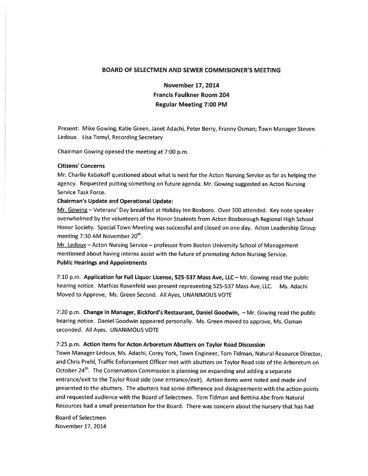#### BOARD OF SELECTMEN AND SEWER COMMISIONER'S MEETING

November 17, 2014 Francis Faulkner Room 204 Regular Meeting 7:00 PM

Present: Mike Gowing, Katie Green, Janet Adachi, Peter Berry, Franny Osman; Town Manager Steven Ledoux. Lisa Tomyl, Recording Secretary

Chairman Gowing opened the meeting at 7:00 p.m.

## Citizens' Concerns

Mr. Charlie Kabakoff questioned about what is next for the Acton Nursing Service as far as helping the agency. Requested putting something on future agenda. Mr. Gowing suggested an Acton Nursing Service Task Force.

# Chairman's Update and Operational Update:

Mr. Gowing — Veterans' Day breakfast at Holiday Inn Boxboro. Over <sup>300</sup> attended. Key note speaker overwhelmed by the volunteers of the Honor Students from Acton Boxborough Regional High School Honor Society. Special Town Meeting was successful and closed on one day. Acton Leadership Group meeting  $7:30$  AM November  $20<sup>th</sup>$ .

Mr. Ledoux — Acton Nursing Service — professor from Boston University School of Management mentioned about having interns assist with the future of promoting Acton Nursing Service. Public Hearings and Appointments

7:10 p.m. Application for Full Liquor License, 525-537 Mass Aye, LLC— Mr. Gowing read the public hearing notice. Mathias Rosenfeld was presen<sup>t</sup> representing 525-537 Mass Aye, LLC. Ms. Adachi Moved to Approve, Ms. Green Second. All Ayes, UNANIMOUS VOTE

7:20 p.m. Change in Manager, Bickford's Restaurant, Daniel Goodwin, — Mr. Gowing read the public hearing notice. Daniel Goodwin appeare<sup>d</sup> personally. Ms. Green moved to approve, Ms. Osman seconded. All Ayes. UNANIMOUS VOTE

# 7:25 p.m. Action Items for Acton Arboretum Abutters on Taylor Road Discussion

Town Manager Ledoux, Ms. Adachi, Corey York, Town Engineer, Tom Tidman, Natural Resource Director, and Chris Prehl, Traffic Enforcement Officer met with abutters on Taylor Road side of the Arboretum on October  $24<sup>th</sup>$ . The Conservation Commission is planning on expanding and adding a separate entrance/exit to the Taylor Road side (one entrance/exit). Action items were noted and made and presented to the abutters. The abutters had some difference and disagreements with the action points and requested audience with the Board of Selectmen. Tom Tidman and Bettina Abe from Natural Resources had <sup>a</sup> small presentation for the Board. There was concern about the nursery that has had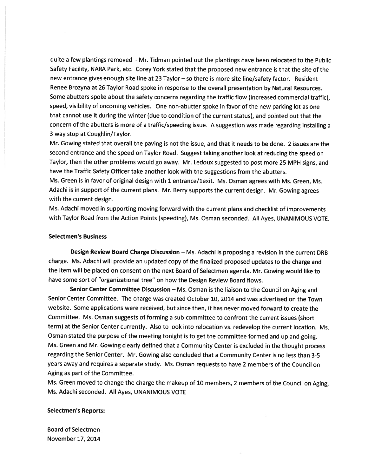quite <sup>a</sup> few <sup>p</sup>lantings removed — Mr. Tidman pointed out the <sup>p</sup>lantings have been relocated to the Public Safety Facility, NARA Park, etc. Corey York stated that the proposed new entrance is that the site of the new entrance <sup>g</sup>ives enough site line at 23 Taylor — so there is more site line/safety factor. Resident Renee Brozyna at <sup>26</sup> Taylor Road spoke in response to the overall presentation by Natural Resources. Some abutters spoke about the safety concerns regarding the traffic flow (increased commercial traffic), speed, visibility of oncoming vehicles. One non-abutter spoke in favor of the new parking lot as one that cannot use it during the winter (due to condition of the current status), and pointed out that the concern of the abutters is more of <sup>a</sup> traffic/speeding issue. <sup>A</sup> suggestion was made regarding installing <sup>a</sup> 3 way stop at Coughlin/Taylor.

Mr. Gowing stated that overall the paving is not the issue, and that it needs to be done. 2 issues are the second entrance and the speed on Taylor Road. Suggest taking another look at reducing the speed on Taylor, then the other problems would go away. Mr. Ledoux suggested to pos<sup>t</sup> more <sup>25</sup> MPH signs, and have the Traffic Safety Officer take another look with the suggestions from the abutters.

Ms. Green is in favor of original design with <sup>1</sup> entrance/lexit. Ms. Osman agrees with Ms. Green, Ms. Adachi is in suppor<sup>t</sup> of the current <sup>p</sup>lans. Mr. Berry supports the current design. Mr. Gowing agrees with the current design.

Ms. Adachi moved in supporting moving forward with the current <sup>p</sup>lans and checklist of improvements with Taylor Road from the Action Points (speeding), Ms. Osman seconded. All Ayes, UNANIMOUS VOTE.

#### Selectmen's Business

Design Review Board Charge Discussion — Ms. Adachi is proposing <sup>a</sup> revision in the current DRB charge. Ms. Adachi will provide an updated copy of the finalized propose<sup>d</sup> updates to the charge and the item will be <sup>p</sup>laced on consent on the next Board of Selectmen agenda. Mr. Gowing would like to have some sort of "organizational tree" on how the Design Review Board flows.

Senior Center Committee Discussion - Ms. Osman is the liaison to the Council on Aging and Senior Center Committee. The charge was created October 10, 2014 and was advertised on the Town website. Some applications were received, but since then, it has never moved forward to create the Committee. Ms. Osman suggests of forming <sup>a</sup> sub-committee to confront the current issues (short term) at the Senior Center currently. Also to look into relocation vs. redevelop the current location. Ms. Osman stated the purpose of the meeting tonight is to ge<sup>t</sup> the committee formed and up and going. Ms. Green and Mr. Gowing clearly defined that <sup>a</sup> Community Center is excluded in the thought process regarding the Senior Center. Mr. Gowing also concluded that <sup>a</sup> Community Center is no less than 3-5 years away and requires <sup>a</sup> separate study. Ms. Osman requests to have <sup>2</sup> members of the Council on Aging as par<sup>t</sup> of the Committee.

Ms. Green moved to change the charge the makeup of <sup>10</sup> members, <sup>2</sup> members of the Council on Aging, Ms. Adachi seconded. All Ayes, UNANIMOUS VOTE

#### Selectmen's Reports: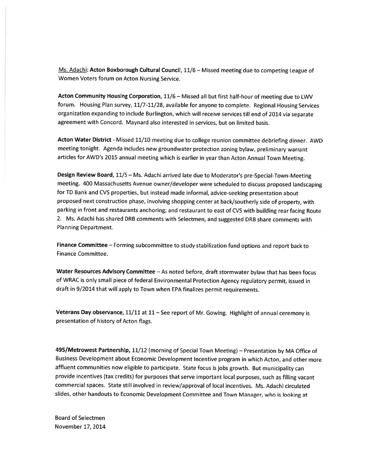Ms. Adachi: Acton Boxborough Cultural Council, 11/6 - Missed meeting due to competing League of Women Voters forum on Acton Nursing Service.

Acton Community Housing Corporation, 11/6 - Missed all but first half-hour of meeting due to LWV forum. Housing Plan survey, 11/7-11/28, available for anyone to complete. Regional Housing Services organization expanding to include Burlington, which will receive services till end of <sup>2014</sup> via separate agreemen<sup>t</sup> with Concord. Maynard also interested in services, but on limited basis.

Acton Water District - Missed 11/10 meeting due to college reunion committee debriefing dinner. AWD meeting tonight. Agenda includes new groundwater protection zoning bylaw, preliminary warrant articles for AWD's 2015 annual meeting which is earlier in year than Acton Annual Town Meeting.

Design Review Board, 11/5 - Ms. Adachi arrived late due to Moderator's pre-Special-Town-Meeting meeting. <sup>400</sup> Massachusetts Avenue owner/developer were scheduled to discuss propose<sup>d</sup> landscaping for TD Bank and CVS properties, but instead made informal, advice-seeking presentation about propose<sup>d</sup> next construction <sup>p</sup>hase, involving shopping center at back/southerly side of property, with parking in front and restaurants anchoring; and restaurant to east of CVS with building rear facing Route 2. Ms. Adachi has shared DRB comments with Selectmen, and suggested DRB share comments with Planning Department.

Finance Committee — Forming subcommittee to study stabilization fund options and repor<sup>t</sup> back to Finance Committee.

Water Resources Advisory Committee - As noted before, draft stormwater bylaw that has been focus of WRAC is only small <sup>p</sup>iece of federal Environmental Protection Agency regulatory permit, issued in draft in 9/2014 that will apply to Town when EPA finalizes permit requirements.

Veterans Day observance, 11/11 at <sup>11</sup> — See repor<sup>t</sup> of Mr. Gowing. Highlight of annual ceremony is presentation of history of Acton flags.

495/Metrowest Partnership, 11/12 (morning of Special Town Meeting) — Presentation by MA Office of Business Development about Economic Development Incentive program in which Acton, and other more affluent communities now eligible to participate. State focus is jobs growth. But municipality can provide incentives (tax credits) for purposes that serve important local purposes, such as filling vacant commercial spaces. State still involved in review/approval of local incentives. Ms. Adachi circulated slides, other handouts to Economic Development Committee and Town Manager, who is looking at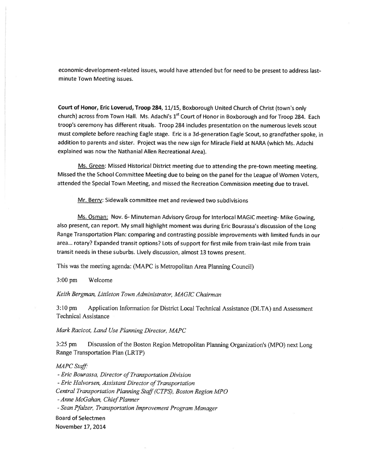economic-development-related issues, would have attended but for need to be presen<sup>t</sup> to address lastminute Town Meeting issues.

Court of Honor, Eric Loverud, Troop 284, 11/15, Boxborough United Church of Christ (town's only church) across from Town Hall. Ms. Adachi's 1<sup>st</sup> Court of Honor in Boxborough and for Troop 284. Each troop's ceremony has different rituals. Troop 284 includes presentation on the numerous levels scout must complete before reaching Eagle stage. Eric is <sup>a</sup> 3d-generation Eagle Scout, so grandfather spoke, in addition to parents and sister. Project was the new sign for Miracle Field at NARA (which Ms. Adachi explained was now the Nathanial Allen Recreational Area).

Ms. Green: Missed Historical District meeting due to attending the pre-town meeting meeting. Missed the the School Committee Meeting due to being on the pane<sup>l</sup> for the League of Women Voters, attended the Special Town Meeting, and missed the Recreation Commission meeting due to travel.

Mr. Berry: Sidewalk committee met and reviewed two subdivisions

Ms. Osman: Nov. 6- Minuteman Advisory Group for Interlocal MAGIC meeting- Mike Gowing, also present, can report. My small highlight moment was during Eric Bourassa's discussion of the Long Range Transportation Plan: comparing and contrasting possible improvements with limited funds in our area... rotary? Expanded transit options? Lots of suppor<sup>t</sup> for first mile from train-last mile from train transit needs in these suburbs. Lively discussion, almost <sup>13</sup> towns present.

This was the meeting agenda: (MAPC is Metropolitan Area Planning Council)

3:00 pm Welcome

## Keith Bergman, Littleton Town Administrator, MAGIC Chairman

3:10 pm Application Information for District Local Technical Assistance (DLTA) and Assessment Technical Assistance

Mark Racicot, Land Use Planning Director. MAPC

3:25 pm Discussion of the Boston Region Metropolitan Planning Organization's (MPO) next Long Range Transportation Plan (LRTP)

MAPC Staff:

- Eric Bourassa, Director of Transportation Division -Eric Halvorsen, Assistant Director of Transportation Central Transportation Planning Staff(CTPS), Boston Region MPO - Anne McGahan, Chief Planner -Sean Pfalzer, Transportation Improvement Program Manager Board of Selectmen November 17, 2014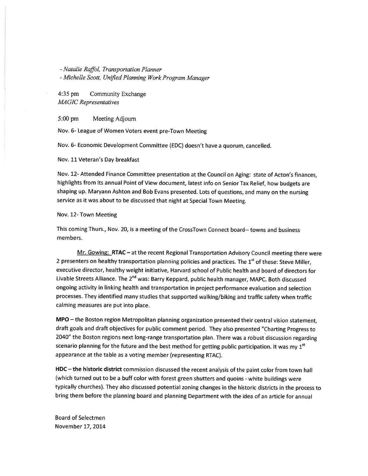-Natalie Raffol, Transportation Planner

-Michelle Scott, UnfIed Planning Work Program Manager

4:35 pm Community Exchange MAGIC Representatives

5:00 pm Meeting Adjourn

Nov. 6- League of Women Voters event pre-Town Meeting

Nov. 6- Economic Development Committee (EDC) doesn't have <sup>a</sup> quorum, cancelled.

Nov. 11 Veteran's Day breakfast

Nov. 12- Attended Finance Committee presentation at the Council on Aging: state of Acton's finances, highlights from its annual Point of View document, latest info on Senior Tax Relief, how budgets are shaping up. Maryann Ashton and Bob Evans presented. Lots of questions, and many on the nursing service as it was about to be discussed that night at Special Town Meeting.

Nov. 12- Town Meeting

This coming Thurs., Nov. 20, is <sup>a</sup> meeting of the CrossTown Connect board-- towns and business members.

Mr. Gowing: RTAC - at the recent Regional Transportation Advisory Council meeting there were 2 presenters on healthy transportation planning policies and practices. The 1<sup>st</sup> of these: Steve Miller, executive director, healthy weight initiative, Harvard school of Public health and board of directors for Livable Streets Alliance. The 2<sup>nd</sup> was: Barry Keppard, public health manager, MAPC. Both discussed ongoing activity in linking health and transportation in project performance evaluation and selection processes. They identified many studies that supported walking/biking and traffic safety when traffic calming measures are pu<sup>t</sup> into place.

MPO — the Boston region Metropolitan <sup>p</sup>lanning organization presented their central vision statement, draft goals and draft objectives for public comment period. They also presented "Charting Progress to 2040" the Boston regions next long-range transportation <sup>p</sup>lan. There was <sup>a</sup> robust discussion regarding scenario planning for the future and the best method for getting public participation. It was my  $1<sup>st</sup>$ appearance at the table as <sup>a</sup> voting member (representing RTAC).

HDC - the historic district commission discussed the recent analysis of the paint color from town hall (which turned out to be a buff color with forest green shutters and quoins - white buildings were typically churches). They also discussed potential zoning changes in the historic districts in the process to bring them before the <sup>p</sup>lanning board and <sup>p</sup>lanning Department with the idea of an article for annual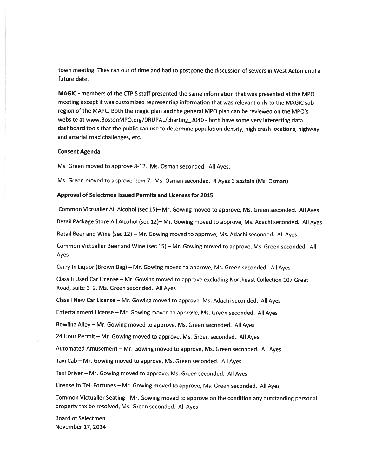town meeting. They ran out of time and had to postpone the discussion of sewers in West Acton until <sup>a</sup> future date.

MAGIC - members of the CTP S staff presented the same information that was presented at the MPO meeting excep<sup>t</sup> it was customized representing information that was relevant only to the MAGIC sub region of the MAPC. Both the magic <sup>p</sup>lan and the genera<sup>l</sup> MPG <sup>p</sup>lan can be reviewed on the MPG's website at www.BostonMP0.org/DRUPAL/charting\_2O40 - both have some very interesting data dashboard tools that the public can use to determine population density, high crash locations, highway and arterial road challenges, etc.

#### Consent Agenda

Ms. Green moved to approve 8-12. Ms. Osman seconded. All Ayes,

Ms. Green moved to approve item 7. Ms. Osman seconded. <sup>4</sup> Ayes <sup>1</sup> abstain (Ms. Osman)

#### Approval of Selectmen Issued Permits and Licenses for 2015

Common Victualler All Alcohol (sec 15)— Mr. Gowing moved to approve, Ms. Green seconded. All Ayes Retail Package Store All Alcohol (sec 12)— Mr. Gowing moved to approve, Ms. Adachi seconded. All Ayes Retail Beer and Wine (sec 12) — Mr. Gowing moved to approve, Ms. Adachi seconded. All Ayes Common Victualler Beer and Wine (sec 15) — Mr. Gowing moved to approve, Ms. Green seconded. All Ayes

Carry In Liquor (Brown Bag) — Mr. Gowing moved to approve, Ms. Green seconded. All Ayes

Class II Used Car License — Mr. Gowing moved to approve excluding Northeast Collection <sup>107</sup> Great Road, suite 1+2, Ms. Green seconded. All Ayes

Class <sup>I</sup> New Car License — Mr. Gowing moved to approve, Ms. Adachi seconded. All Ayes

Entertainment License — Mr. Gowing moved to approve, Ms. Green seconded. All Ayes

Bowling Alley — Mr. Gowing moved to approve, Ms. Green seconded. All Ayes

<sup>24</sup> Hour Permit — Mr. Gowing moved to approve, Ms. Green seconded. All Ayes

Automated Amusement — Mr. Gowing moved to approve, Ms. Green seconded. All Ayes

Taxi Cab — Mr. Gowing moved to approve, Ms. Green seconded. All Ayes

Taxi Driver — Mr. Gowing moved to approve, Ms. Green seconded. All Ayes

License to Tell Fortunes — Mr. Gowing moved to approve, Ms. Green seconded. All Ayes

Common Victualler Seating - Mr. Gowing moved to approve on the condition any outstanding persona<sup>l</sup> property tax be resolved, Ms. Green seconded. All Ayes